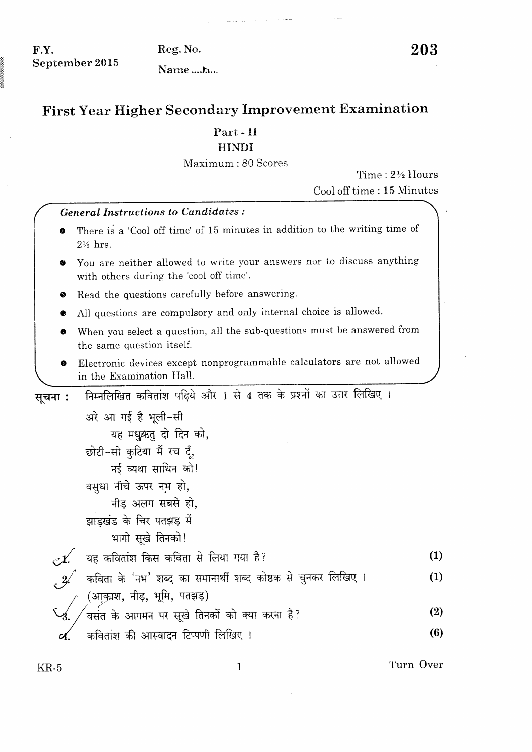$F.Y.$ September 2015 Reg. No.

Name....k...

## First Year Higher Secondary Improvement Examination

## $Part - II$

## **HINDI**

## Maximum: 80 Scores

Time: 2½ Hours Cool off time: 15 Minutes

|         | <b>General Instructions to Candidates:</b>                                                                       |     |
|---------|------------------------------------------------------------------------------------------------------------------|-----|
|         | There is a 'Cool off time' of 15 minutes in addition to the writing time of<br>2½ hrs.                           |     |
|         | You are neither allowed to write your answers nor to discuss anything<br>with others during the 'cool off time'. |     |
| ♥       | Read the questions carefully before answering.                                                                   |     |
|         | All questions are compulsory and only internal choice is allowed.                                                |     |
|         | When you select a question, all the sub-questions must be answered from<br>the same question itself.             |     |
|         | Electronic devices except nonprogrammable calculators are not allowed<br>in the Examination Hall.                |     |
| सूचना : | निम्नलिखित कवितांश पढ़िये और 1 से 4 तक के प्रश्नों का उत्तर लिखिए।                                               |     |
|         | अरे आ गई है भूली-सी                                                                                              |     |
|         | यह मधुक्रतु दो दिन को,                                                                                           |     |
|         | छोटी-सी कुटिया मैं रच दूँ,                                                                                       |     |
|         | नई व्यथा साथिन को!                                                                                               |     |
|         | वसुधा नीचे ऊपर नभ हो,                                                                                            |     |
|         | नीड़ अलग सबसे हो,                                                                                                |     |
|         | झाड़खंड के चिर पतझड़ में                                                                                         |     |
|         | भागो सूखे तिनको!                                                                                                 |     |
|         | यह कवितांश किस कविता से लिया गया है?                                                                             | (1) |
|         | कविता के 'नभ' शब्द का समानार्थी शब्द कोष्ठक से चुनकर लिखिए ।                                                     | (1) |
|         | (आकाश, नीड़, भूमि, पतझड़)                                                                                        |     |
|         | वसंत के आगमन पर सूखे तिनकों को क्या करना है?                                                                     | (2) |
|         | कवितांश की आस्वादन टिप्पणी लिखिए ।                                                                               | (6) |
|         |                                                                                                                  |     |

 $\mathbf 1$ 

Turn Over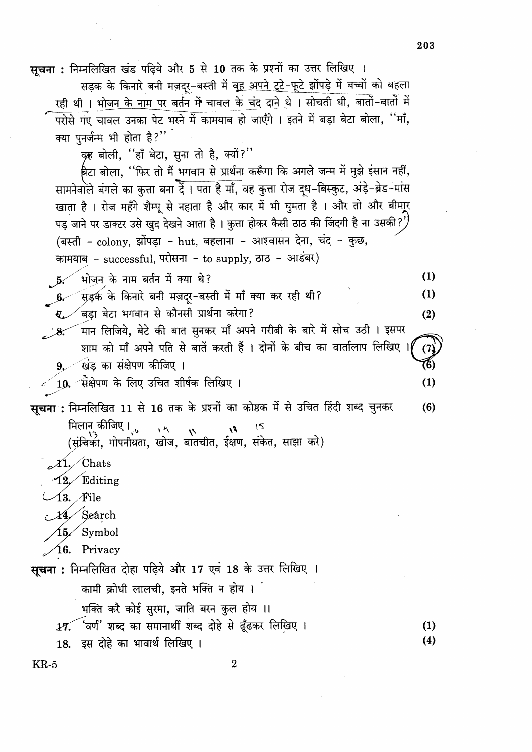सचना: निम्नलिखित खंड पढ़िये और 5 से 10 तक के प्रश्नों का उत्तर लिखिए ।

सड़क के किनारे बनी मज़दर-बस्ती में वह अपने टूटे-फूटे झोंपड़े में बच्चों को बहला रही थी। भोजन <u>के नाम</u> पर बर्तन में चावल के चंद दाने थे। सोचती थी, बातों-बातों में परोसे गए चावल उनका पेट भरने में कामयाब हो जाएँगे । इतने में बड़ा बेटा बोला, ''माँ, क्या पुनर्जन्म भी होता है?"

कृह बोली, "हाँ बेटा, सुना तो है, क्यों?"

बिटा बोला, ''फिर तो मैं भगवान से प्रार्थना करूँगा कि अगले जन्म में मुझे इंसान नहीं, सामनेवाले बंगले का कुत्ता बना दें। पता है माँ, वह कुत्ता रोज दूध-बिस्कुट, अंड़े-ब्रेड-मांस खाता है । रोज महँगे शैम्पू से नहाता है और कार में भी घुमता है । और तो और बीमाूर पड़ जाने पर डाक्टर उसे खुद देखने आता है। कुत्ता होकर कैसी ठाठ की जिंदगी है ना उसकी?' (बस्ती - colony, झोंपड़ा - hut, बहलाना - आश्वासन देना, चंद - कुछ, कामयाब - successful, परोसना - to supply, ठाठ - आडंबर)

भोजन के नाम बर्तन में क्या थे?

.<br>सड़क के किनारे बनी मज़द्र-बस्ती में माँ क्या कर रही थी?  $6-$ 

्<br>बडा बेटा भगवान से कौनसी प्रार्थना करेगा?

<sup>1</sup>मान लिजिये, बेटे की बात सुनकर माँ अपने गरीबी के बारे में सोच उठी । इसपर  $\mathscr{S}$ शाम को माँ अपने पति से बातें करती हैं । दोनों के बीच का वार्तालाप लिखिए  $(7)$ खिंड का संक्षेपण कीजिए । (6)  $9.$ 

 $\left\lceil 10 - \right\rceil$ संक्षेपण के लिए उचित शीर्षक लिखिए ।

सूचना : निम्नलिखित 11 से 16 तक के प्रश्नों का कोष्ठक में से उचित हिंदी शब्द चुनकर  $(6)$ मिलान् कीजिए। 15  $\sqrt{2}$  $\mathfrak{g}_I$ 

 $\mathcal{X}$ 1. Chats

12 Editing

 $\bm{13.}~\bm{\mathcal{F}}$ ile

14. Seárch

Symbol 15,

$$
\angle 16. \quad \text{Privacy}
$$

सूचना : निम्नलिखित दोहा पढ़िये और 17 एवं 18 के उत्तर लिखिए ।

कामी क्रोधी लालची, इनते भक्ति न होय ।

भक्ति करै कोई सुरमा, जाति बरन कुल होय ।।

17. 'वर्ण' शब्द का समानार्थी शब्द दोहे से ढूँढकर लिखिए ।

इस दोहे का भावार्थ लिखिए । 18.

 $KR-5$ 

203

 $(1)$ 

 $(1)$ 

 $(2)$ 

 $(1)$ 

 $(1)$  $(4)$ 

 $\overline{2}$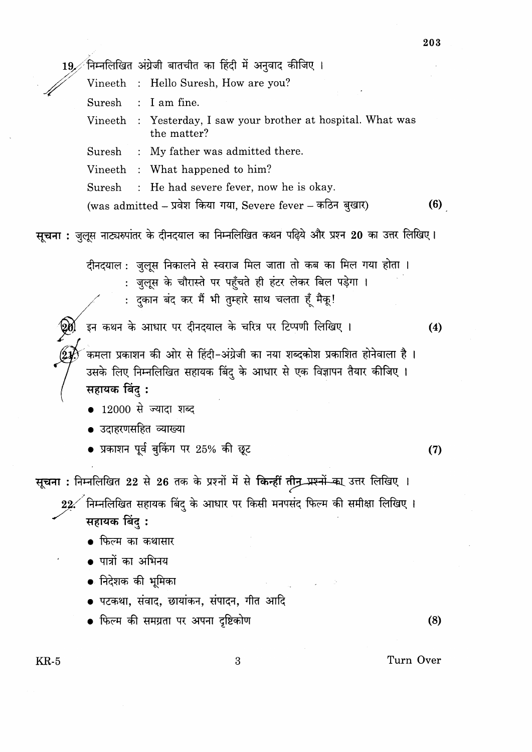19. निम्नलिखित अंग्रेजी बातचीत का हिंदी में अनुवाद कीजिए । Vineeth : Hello Suresh, How are you? Suresh : I am fine. Vineeth : Yesterday, I saw your brother at hospital. What was the matter? Suresh : My father was admitted there. Vineeth : What happened to him? : He had severe fever, now he is okay. Suresh  $(6)$ (was admitted – प्रवेश किया गया, Severe fever – कठिन बुखार) सूचना : जुलूस नाट्यरुपांतर के दीनदयाल का निम्नलिखित कथन पढ़िये और प्रश्न 20 का उत्तर लिखिए। दीनदयाल : जुलूस निकालने से स्वराज मिल जाता तो कब का मिल गया होता । : जुलूस के चौरास्ते पर पहुँचते ही हंटर लेकर बिल पड़ेगा । : दुकान बंद कर मैं भी तुम्हारे साथ चलता हूँ मैकू! .<br> इन कथन के आधार पर दीनदयाल के चरित्र पर टिप्पणी लिखिए ।  $(4)$ कमला प्रकाशन की ओर से हिंदी-अंग्रेजी का नया शब्दकोश प्रकाशित होनेवाला है । उसके लिए निम्नलिखित सहायक बिंदु के आधार से एक विज्ञापन तैयार कीजिए । सहायक बिंद: •  $12000$  से ज्यादा शब्द उदाहरणसहित व्याख्या • प्रकाशन पूर्व बुकिंग पर 25% की छूट  $(7)$ सूचना : निम्नलिखित 22 से 26 तक के प्रश्नों में से किन्हीं तीन प्रश्नों का उत्तर लिखिए ।  $22$  निम्नलिखित सहायक बिंदु के आधार पर किसी मनपसंद फिल्म की समीक्षा लिखिए। सहायक बिंदु: • फिल्म का कथासार • पात्रों का अभिनय • निदेशक की भूमिका ● पटकथा, संवाद, छायांकन, संपादन, गीत आदि • फिल्म की समग्रता पर अपना दृष्टिकोण  $(8)$ 

 $KR-5$ 

 $\mathbf{3}$ 

Turn Over

203